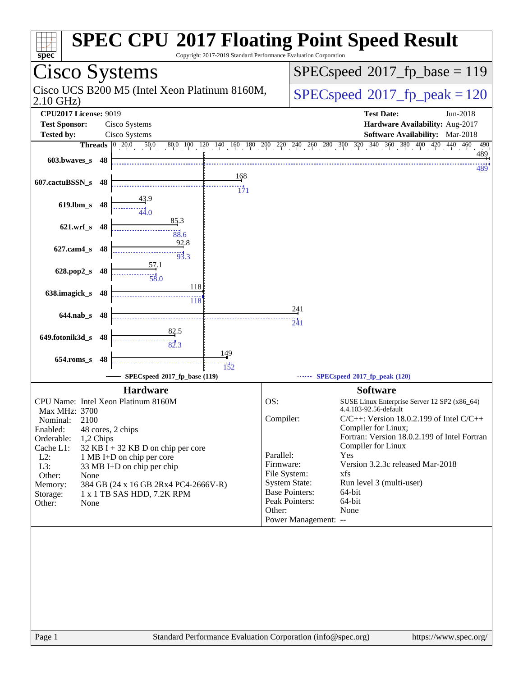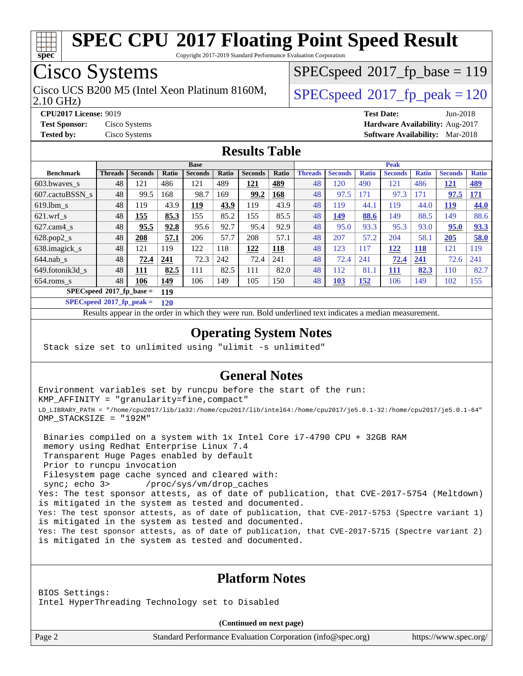![](_page_1_Picture_0.jpeg)

Copyright 2017-2019 Standard Performance Evaluation Corporation

# Cisco Systems

Cisco UCS B200 M5 (Intel Xeon Platinum 8160M,  $\big|$  [SPECspeed](http://www.spec.org/auto/cpu2017/Docs/result-fields.html#SPECspeed2017fppeak)®2017 fp\_peak = 120

 $SPEC speed^{\circ}2017\_fp\_base = 119$ 

2.10 GHz)

**[CPU2017 License:](http://www.spec.org/auto/cpu2017/Docs/result-fields.html#CPU2017License)** 9019 **[Test Date:](http://www.spec.org/auto/cpu2017/Docs/result-fields.html#TestDate)** Jun-2018

**[Test Sponsor:](http://www.spec.org/auto/cpu2017/Docs/result-fields.html#TestSponsor)** Cisco Systems **[Hardware Availability:](http://www.spec.org/auto/cpu2017/Docs/result-fields.html#HardwareAvailability)** Aug-2017 **[Tested by:](http://www.spec.org/auto/cpu2017/Docs/result-fields.html#Testedby)** Cisco Systems **[Software Availability:](http://www.spec.org/auto/cpu2017/Docs/result-fields.html#SoftwareAvailability)** Mar-2018

#### **[Results Table](http://www.spec.org/auto/cpu2017/Docs/result-fields.html#ResultsTable)**

|                                   | <b>Base</b>    |                |            |                | <b>Peak</b> |                |             |                |                |              |                |              |                |              |
|-----------------------------------|----------------|----------------|------------|----------------|-------------|----------------|-------------|----------------|----------------|--------------|----------------|--------------|----------------|--------------|
| <b>Benchmark</b>                  | <b>Threads</b> | <b>Seconds</b> | Ratio      | <b>Seconds</b> | Ratio       | <b>Seconds</b> | Ratio       | <b>Threads</b> | <b>Seconds</b> | <b>Ratio</b> | <b>Seconds</b> | <b>Ratio</b> | <b>Seconds</b> | <b>Ratio</b> |
| 603.bwayes_s                      | 48             | 121            | 486        | 121            | 489         | <u>121</u>     | <u>489</u>  | 48             | 120            | 490          | 121            | 486          | <u>121</u>     | <u>489</u>   |
| 607.cactuBSSN s                   | 48             | 99.5           | 168        | 98.7           | 169         | 99.2           | <u> 168</u> | 48             | 97.5           | 171          | 97.3           | 171          | 97.5           | <u>171</u>   |
| $619.1$ bm s                      | 48             | 119            | 43.9       | 119            | 43.9        | 119            | 43.9        | 48             | 119            | 44.1         | 119            | 44.0         | <b>119</b>     | <b>44.0</b>  |
| $621.wrf$ s                       | 48             | 155            | 85.3       | 155            | 85.2        | 155            | 85.5        | 48             | 149            | 88.6         | 149            | 88.5         | 149            | 88.6         |
| $627$ .cam4 s                     | 48             | 95.5           | 92.8       | 95.6           | 92.7        | 95.4           | 92.9        | 48             | 95.0           | 93.3         | 95.3           | 93.0         | 95.0           | 93.3         |
| $628.pop2_s$                      | 48             | 208            | 57.1       | 206            | 57.7        | 208            | 57.1        | 48             | 207            | 57.2         | 204            | 58.1         | 205            | 58.0         |
| 638.imagick_s                     | 48             | 121            | 119        | 122            | 118         | 122            | <b>118</b>  | 48             | 123            | 117          | 122            | <b>118</b>   | 121            | 119          |
| $644$ .nab s                      | 48             | 72.4           | 241        | 72.3           | 242         | 72.4           | 241         | 48             | 72.4           | 241          | 72.4           | 241          | 72.6           | 241          |
| 649.fotonik3d s                   | 48             | <u> 111</u>    | 82.5       | 111            | 82.5        | 111            | 82.0        | 48             | 112            | 81.1         | 111            | 82.3         | 110            | 82.7         |
| $654$ .roms s                     | 48             | 106            | <u>149</u> | 106            | 149         | 105            | 150         | 48             | <b>103</b>     | 152          | 106            | 149          | 102            | 155          |
| $SPECspeed*2017$ fp base =<br>119 |                |                |            |                |             |                |             |                |                |              |                |              |                |              |

**[SPECspeed](http://www.spec.org/auto/cpu2017/Docs/result-fields.html#SPECspeed2017fppeak)[2017\\_fp\\_peak =](http://www.spec.org/auto/cpu2017/Docs/result-fields.html#SPECspeed2017fppeak) 120**

Results appear in the [order in which they were run.](http://www.spec.org/auto/cpu2017/Docs/result-fields.html#RunOrder) Bold underlined text [indicates a median measurement](http://www.spec.org/auto/cpu2017/Docs/result-fields.html#Median).

### **[Operating System Notes](http://www.spec.org/auto/cpu2017/Docs/result-fields.html#OperatingSystemNotes)**

Stack size set to unlimited using "ulimit -s unlimited"

### **[General Notes](http://www.spec.org/auto/cpu2017/Docs/result-fields.html#GeneralNotes)**

Environment variables set by runcpu before the start of the run: KMP\_AFFINITY = "granularity=fine,compact" LD\_LIBRARY\_PATH = "/home/cpu2017/lib/ia32:/home/cpu2017/lib/intel64:/home/cpu2017/je5.0.1-32:/home/cpu2017/je5.0.1-64" OMP\_STACKSIZE = "192M"

 Binaries compiled on a system with 1x Intel Core i7-4790 CPU + 32GB RAM memory using Redhat Enterprise Linux 7.4 Transparent Huge Pages enabled by default Prior to runcpu invocation Filesystem page cache synced and cleared with: sync; echo 3> /proc/sys/vm/drop\_caches Yes: The test sponsor attests, as of date of publication, that CVE-2017-5754 (Meltdown) is mitigated in the system as tested and documented. Yes: The test sponsor attests, as of date of publication, that CVE-2017-5753 (Spectre variant 1) is mitigated in the system as tested and documented. Yes: The test sponsor attests, as of date of publication, that CVE-2017-5715 (Spectre variant 2) is mitigated in the system as tested and documented.

### **[Platform Notes](http://www.spec.org/auto/cpu2017/Docs/result-fields.html#PlatformNotes)**

BIOS Settings: Intel HyperThreading Technology set to Disabled

**(Continued on next page)**

Page 2 Standard Performance Evaluation Corporation [\(info@spec.org\)](mailto:info@spec.org) <https://www.spec.org/>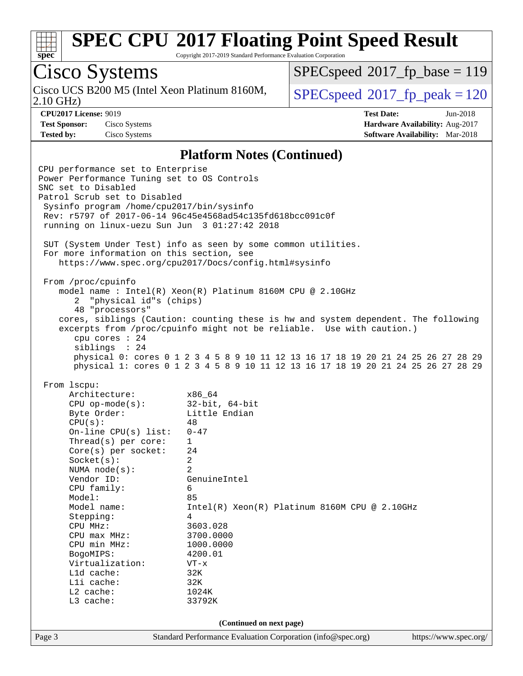![](_page_2_Picture_0.jpeg)

Copyright 2017-2019 Standard Performance Evaluation Corporation

# Cisco Systems

Cisco UCS B200 M5 (Intel Xeon Platinum 8160M,<br>2.10 GHz)

[SPECspeed](http://www.spec.org/auto/cpu2017/Docs/result-fields.html#SPECspeed2017fpbase)<sup>®</sup>2017 fp base = 119

 $SPEC speed$ <sup>®</sup> $2017_f$ p\_peak = 120

**[CPU2017 License:](http://www.spec.org/auto/cpu2017/Docs/result-fields.html#CPU2017License)** 9019 **[Test Date:](http://www.spec.org/auto/cpu2017/Docs/result-fields.html#TestDate)** Jun-2018 **[Test Sponsor:](http://www.spec.org/auto/cpu2017/Docs/result-fields.html#TestSponsor)** Cisco Systems **[Hardware Availability:](http://www.spec.org/auto/cpu2017/Docs/result-fields.html#HardwareAvailability)** Aug-2017 **[Tested by:](http://www.spec.org/auto/cpu2017/Docs/result-fields.html#Testedby)** Cisco Systems **[Software Availability:](http://www.spec.org/auto/cpu2017/Docs/result-fields.html#SoftwareAvailability)** Mar-2018

#### **[Platform Notes \(Continued\)](http://www.spec.org/auto/cpu2017/Docs/result-fields.html#PlatformNotes)**

Page 3 Standard Performance Evaluation Corporation [\(info@spec.org\)](mailto:info@spec.org) <https://www.spec.org/> CPU performance set to Enterprise Power Performance Tuning set to OS Controls SNC set to Disabled Patrol Scrub set to Disabled Sysinfo program /home/cpu2017/bin/sysinfo Rev: r5797 of 2017-06-14 96c45e4568ad54c135fd618bcc091c0f running on linux-uezu Sun Jun 3 01:27:42 2018 SUT (System Under Test) info as seen by some common utilities. For more information on this section, see <https://www.spec.org/cpu2017/Docs/config.html#sysinfo> From /proc/cpuinfo model name : Intel(R) Xeon(R) Platinum 8160M CPU @ 2.10GHz 2 "physical id"s (chips) 48 "processors" cores, siblings (Caution: counting these is hw and system dependent. The following excerpts from /proc/cpuinfo might not be reliable. Use with caution.) cpu cores : 24 siblings : 24 physical 0: cores 0 1 2 3 4 5 8 9 10 11 12 13 16 17 18 19 20 21 24 25 26 27 28 29 physical 1: cores 0 1 2 3 4 5 8 9 10 11 12 13 16 17 18 19 20 21 24 25 26 27 28 29 From lscpu: Architecture: x86\_64 CPU op-mode(s): 32-bit, 64-bit Byte Order: Little Endian  $CPU(s):$  48<br>On-line CPU(s) list: 0-47 On-line  $CPU(s)$  list: Thread(s) per core: 1 Core(s) per socket: 24 Socket(s): 2 NUMA node(s): 2 Vendor ID: GenuineIntel CPU family: 6 Model: 85 Model name: Intel(R) Xeon(R) Platinum 8160M CPU @ 2.10GHz Stepping: 4 CPU MHz: 3603.028 CPU max MHz: 3700.0000 CPU min MHz: 1000.0000 BogoMIPS: 4200.01 Virtualization: VT-x L1d cache: 32K L1i cache: 32K L2 cache: 1024K L3 cache: 33792K **(Continued on next page)**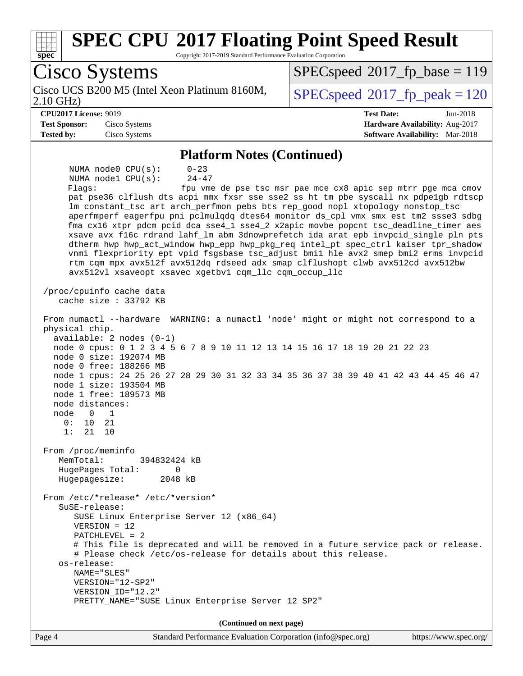| <b>SPEC CPU®2017 Floating Point Speed Result</b><br>Copyright 2017-2019 Standard Performance Evaluation Corporation<br>$spec^*$                                                                                                                                                                                                                                                                                                                                                                                                                                                                                                                                                                                                                                                                                                                                                                          |                                                               |
|----------------------------------------------------------------------------------------------------------------------------------------------------------------------------------------------------------------------------------------------------------------------------------------------------------------------------------------------------------------------------------------------------------------------------------------------------------------------------------------------------------------------------------------------------------------------------------------------------------------------------------------------------------------------------------------------------------------------------------------------------------------------------------------------------------------------------------------------------------------------------------------------------------|---------------------------------------------------------------|
| Cisco Systems                                                                                                                                                                                                                                                                                                                                                                                                                                                                                                                                                                                                                                                                                                                                                                                                                                                                                            | $SPEC speed^{\circ}2017$ fp base = 119                        |
| Cisco UCS B200 M5 (Intel Xeon Platinum 8160M,<br>$2.10$ GHz)                                                                                                                                                                                                                                                                                                                                                                                                                                                                                                                                                                                                                                                                                                                                                                                                                                             | $SPEC speed^{\circ}2017$ _fp_peak = 120                       |
| <b>CPU2017 License: 9019</b>                                                                                                                                                                                                                                                                                                                                                                                                                                                                                                                                                                                                                                                                                                                                                                                                                                                                             | <b>Test Date:</b><br>Jun-2018                                 |
| <b>Test Sponsor:</b><br>Cisco Systems                                                                                                                                                                                                                                                                                                                                                                                                                                                                                                                                                                                                                                                                                                                                                                                                                                                                    | Hardware Availability: Aug-2017                               |
| <b>Tested by:</b><br>Cisco Systems                                                                                                                                                                                                                                                                                                                                                                                                                                                                                                                                                                                                                                                                                                                                                                                                                                                                       | Software Availability: Mar-2018                               |
| <b>Platform Notes (Continued)</b>                                                                                                                                                                                                                                                                                                                                                                                                                                                                                                                                                                                                                                                                                                                                                                                                                                                                        |                                                               |
| NUMA node0 CPU(s):<br>$0 - 23$<br>$24 - 47$<br>NUMA nodel CPU(s):<br>Flagg:<br>pat pse36 clflush dts acpi mmx fxsr sse sse2 ss ht tm pbe syscall nx pdpe1gb rdtscp<br>lm constant_tsc art arch_perfmon pebs bts rep_good nopl xtopology nonstop_tsc<br>aperfmperf eagerfpu pni pclmulqdq dtes64 monitor ds_cpl vmx smx est tm2 ssse3 sdbg<br>fma cx16 xtpr pdcm pcid dca sse4_1 sse4_2 x2apic movbe popcnt tsc_deadline_timer aes<br>xsave avx f16c rdrand lahf_lm abm 3dnowprefetch ida arat epb invpcid_single pln pts<br>dtherm hwp hwp_act_window hwp_epp hwp_pkg_req intel_pt spec_ctrl kaiser tpr_shadow<br>vnmi flexpriority ept vpid fsgsbase tsc_adjust bmil hle avx2 smep bmi2 erms invpcid<br>rtm cqm mpx avx512f avx512dq rdseed adx smap clflushopt clwb avx512cd avx512bw<br>avx512vl xsaveopt xsavec xgetbv1 cqm_llc cqm_occup_llc<br>/proc/cpuinfo cache data<br>cache size $: 33792$ KB | fpu vme de pse tsc msr pae mce cx8 apic sep mtrr pge mca cmov |
| From numactl --hardware WARNING: a numactl 'node' might or might not correspond to a<br>physical chip.<br>$available: 2 nodes (0-1)$<br>node 0 cpus: 0 1 2 3 4 5 6 7 8 9 10 11 12 13 14 15 16 17 18 19 20 21 22 23<br>node 0 size: 192074 MB<br>node 0 free: 188266 MB<br>node 1 cpus: 24 25 26 27 28 29 30 31 32 33 34 35 36 37 38 39 40 41 42 43 44 45 46 47<br>node 1 size: 193504 MB<br>node 1 free: 189573 MB<br>node distances:<br>node 0 1<br>0 :<br>10<br>21<br>1:<br>21<br>10<br>From /proc/meminfo<br>MemTotal:<br>394832424 kB                                                                                                                                                                                                                                                                                                                                                                |                                                               |
| HugePages_Total:<br>0<br>Hugepagesize:<br>2048 kB<br>From /etc/*release* /etc/*version*<br>$S$ uSE-release:<br>SUSE Linux Enterprise Server 12 (x86_64)<br>$VERSION = 12$<br>PATCHLEVEL = 2<br># This file is deprecated and will be removed in a future service pack or release.<br># Please check /etc/os-release for details about this release.<br>os-release:<br>NAME="SLES"<br>VERSION="12-SP2"<br>VERSION_ID="12.2"<br>PRETTY_NAME="SUSE Linux Enterprise Server 12 SP2"                                                                                                                                                                                                                                                                                                                                                                                                                          |                                                               |
| (Continued on next page)                                                                                                                                                                                                                                                                                                                                                                                                                                                                                                                                                                                                                                                                                                                                                                                                                                                                                 |                                                               |
| Page 4<br>Standard Performance Evaluation Corporation (info@spec.org)                                                                                                                                                                                                                                                                                                                                                                                                                                                                                                                                                                                                                                                                                                                                                                                                                                    | https://www.spec.org/                                         |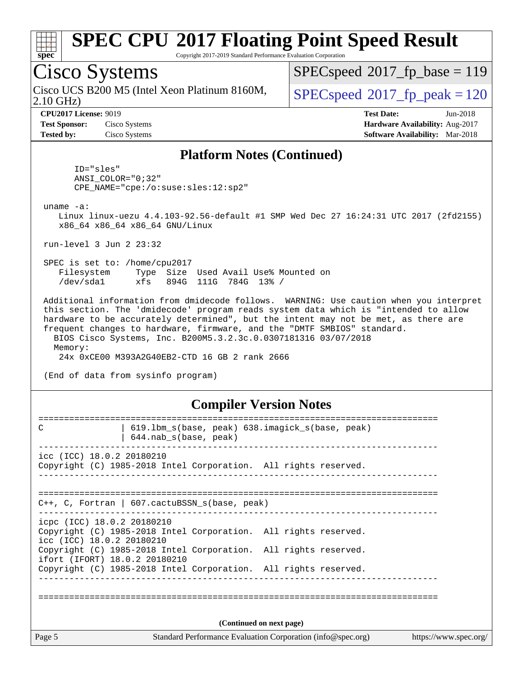![](_page_4_Picture_0.jpeg)

Copyright 2017-2019 Standard Performance Evaluation Corporation

# Cisco Systems

2.10 GHz) Cisco UCS B200 M5 (Intel Xeon Platinum 8160M,  $\big|$  [SPECspeed](http://www.spec.org/auto/cpu2017/Docs/result-fields.html#SPECspeed2017fppeak)®[2017\\_fp\\_peak = 1](http://www.spec.org/auto/cpu2017/Docs/result-fields.html#SPECspeed2017fppeak)20

[SPECspeed](http://www.spec.org/auto/cpu2017/Docs/result-fields.html#SPECspeed2017fpbase)<sup>®</sup>2017 fp base = 119

**[Test Sponsor:](http://www.spec.org/auto/cpu2017/Docs/result-fields.html#TestSponsor)** Cisco Systems **[Hardware Availability:](http://www.spec.org/auto/cpu2017/Docs/result-fields.html#HardwareAvailability)** Aug-2017 **[Tested by:](http://www.spec.org/auto/cpu2017/Docs/result-fields.html#Testedby)** Cisco Systems **[Software Availability:](http://www.spec.org/auto/cpu2017/Docs/result-fields.html#SoftwareAvailability)** Mar-2018

**[CPU2017 License:](http://www.spec.org/auto/cpu2017/Docs/result-fields.html#CPU2017License)** 9019 **[Test Date:](http://www.spec.org/auto/cpu2017/Docs/result-fields.html#TestDate)** Jun-2018

#### **[Platform Notes \(Continued\)](http://www.spec.org/auto/cpu2017/Docs/result-fields.html#PlatformNotes)**

 ID="sles" ANSI\_COLOR="0;32" CPE\_NAME="cpe:/o:suse:sles:12:sp2"

uname -a:

 Linux linux-uezu 4.4.103-92.56-default #1 SMP Wed Dec 27 16:24:31 UTC 2017 (2fd2155) x86\_64 x86\_64 x86\_64 GNU/Linux

run-level 3 Jun 2 23:32

 SPEC is set to: /home/cpu2017 Filesystem Type Size Used Avail Use% Mounted on /dev/sda1 xfs 894G 111G 784G 13% /

 Additional information from dmidecode follows. WARNING: Use caution when you interpret this section. The 'dmidecode' program reads system data which is "intended to allow hardware to be accurately determined", but the intent may not be met, as there are frequent changes to hardware, firmware, and the "DMTF SMBIOS" standard. BIOS Cisco Systems, Inc. B200M5.3.2.3c.0.0307181316 03/07/2018 Memory:

24x 0xCE00 M393A2G40EB2-CTD 16 GB 2 rank 2666

(End of data from sysinfo program)

#### **[Compiler Version Notes](http://www.spec.org/auto/cpu2017/Docs/result-fields.html#CompilerVersionNotes)**

| 619.1bm_s(base, peak) 638.imagick_s(base, peak)<br>C<br>$644.nab_s(base, peak)$                                            |                                                             |                       |
|----------------------------------------------------------------------------------------------------------------------------|-------------------------------------------------------------|-----------------------|
| icc (ICC) 18.0.2 20180210<br>Copyright (C) 1985-2018 Intel Corporation. All rights reserved.                               |                                                             |                       |
| C++, C, Fortran   607. cactuBSSN_s(base, peak)                                                                             |                                                             |                       |
| icpc (ICC) 18.0.2 20180210<br>Copyright (C) 1985-2018 Intel Corporation. All rights reserved.<br>icc (ICC) 18.0.2 20180210 |                                                             |                       |
| Copyright (C) 1985-2018 Intel Corporation. All rights reserved.<br>ifort (IFORT) 18.0.2 20180210                           |                                                             |                       |
| Copyright (C) 1985-2018 Intel Corporation. All rights reserved.                                                            |                                                             |                       |
|                                                                                                                            |                                                             |                       |
|                                                                                                                            | (Continued on next page)                                    |                       |
| Page 5                                                                                                                     | Standard Performance Evaluation Corporation (info@spec.org) | https://www.spec.org/ |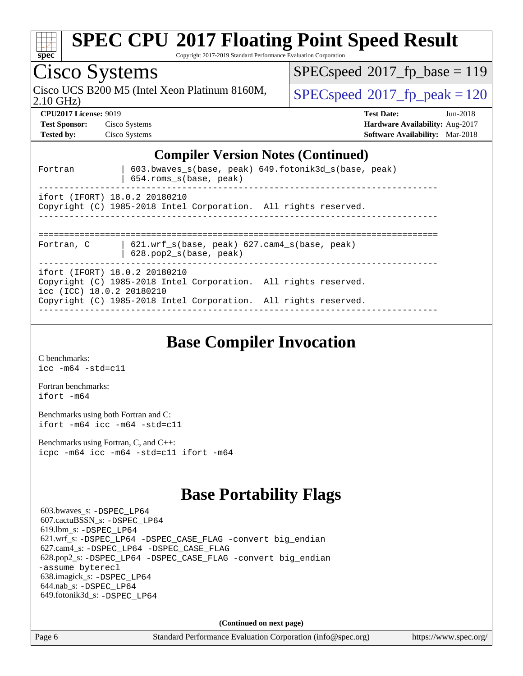| <b>SPEC CPU®2017 Floating Point Speed Result</b><br>Copyright 2017-2019 Standard Performance Evaluation Corporation<br>$spec^*$        |                                         |
|----------------------------------------------------------------------------------------------------------------------------------------|-----------------------------------------|
| Cisco Systems                                                                                                                          | $SPEC speed^{\circ}2017$ fp base = 119  |
| Cisco UCS B200 M5 (Intel Xeon Platinum 8160M,<br>$2.10$ GHz)                                                                           | $SPEC speed^{\circ}2017$ _fp_peak = 120 |
| <b>CPU2017 License: 9019</b>                                                                                                           | <b>Test Date:</b><br>$Jun-2018$         |
| <b>Test Sponsor:</b><br>Cisco Systems                                                                                                  | Hardware Availability: Aug-2017         |
| <b>Tested by:</b><br>Cisco Systems                                                                                                     | <b>Software Availability:</b> Mar-2018  |
| <b>Compiler Version Notes (Continued)</b><br>603.bwaves_s(base, peak) 649.fotonik3d_s(base, peak)<br>Fortran<br>654.roms_s(base, peak) |                                         |
| ifort (IFORT) 18.0.2 20180210<br>Copyright (C) 1985-2018 Intel Corporation. All rights reserved.                                       |                                         |
| $621.$ wrf $s(base, peak)$ $627.$ cam4 $s(base, peak)$<br>Fortran, C<br>628.pop2_s(base, peak)                                         |                                         |
| ifort (IFORT) 18.0.2 20180210<br>Copyright (C) 1985-2018 Intel Corporation. All rights reserved.<br>icc (ICC) 18.0.2 20180210          |                                         |
| Copyright (C) 1985-2018 Intel Corporation. All rights reserved.                                                                        |                                         |

**[Base Compiler Invocation](http://www.spec.org/auto/cpu2017/Docs/result-fields.html#BaseCompilerInvocation)**

[C benchmarks](http://www.spec.org/auto/cpu2017/Docs/result-fields.html#Cbenchmarks): [icc -m64 -std=c11](http://www.spec.org/cpu2017/results/res2018q2/cpu2017-20180612-06900.flags.html#user_CCbase_intel_icc_64bit_c11_33ee0cdaae7deeeab2a9725423ba97205ce30f63b9926c2519791662299b76a0318f32ddfffdc46587804de3178b4f9328c46fa7c2b0cd779d7a61945c91cd35)

[Fortran benchmarks](http://www.spec.org/auto/cpu2017/Docs/result-fields.html#Fortranbenchmarks): [ifort -m64](http://www.spec.org/cpu2017/results/res2018q2/cpu2017-20180612-06900.flags.html#user_FCbase_intel_ifort_64bit_24f2bb282fbaeffd6157abe4f878425411749daecae9a33200eee2bee2fe76f3b89351d69a8130dd5949958ce389cf37ff59a95e7a40d588e8d3a57e0c3fd751)

[Benchmarks using both Fortran and C](http://www.spec.org/auto/cpu2017/Docs/result-fields.html#BenchmarksusingbothFortranandC): [ifort -m64](http://www.spec.org/cpu2017/results/res2018q2/cpu2017-20180612-06900.flags.html#user_CC_FCbase_intel_ifort_64bit_24f2bb282fbaeffd6157abe4f878425411749daecae9a33200eee2bee2fe76f3b89351d69a8130dd5949958ce389cf37ff59a95e7a40d588e8d3a57e0c3fd751) [icc -m64 -std=c11](http://www.spec.org/cpu2017/results/res2018q2/cpu2017-20180612-06900.flags.html#user_CC_FCbase_intel_icc_64bit_c11_33ee0cdaae7deeeab2a9725423ba97205ce30f63b9926c2519791662299b76a0318f32ddfffdc46587804de3178b4f9328c46fa7c2b0cd779d7a61945c91cd35)

[Benchmarks using Fortran, C, and C++:](http://www.spec.org/auto/cpu2017/Docs/result-fields.html#BenchmarksusingFortranCandCXX) [icpc -m64](http://www.spec.org/cpu2017/results/res2018q2/cpu2017-20180612-06900.flags.html#user_CC_CXX_FCbase_intel_icpc_64bit_4ecb2543ae3f1412ef961e0650ca070fec7b7afdcd6ed48761b84423119d1bf6bdf5cad15b44d48e7256388bc77273b966e5eb805aefd121eb22e9299b2ec9d9) [icc -m64 -std=c11](http://www.spec.org/cpu2017/results/res2018q2/cpu2017-20180612-06900.flags.html#user_CC_CXX_FCbase_intel_icc_64bit_c11_33ee0cdaae7deeeab2a9725423ba97205ce30f63b9926c2519791662299b76a0318f32ddfffdc46587804de3178b4f9328c46fa7c2b0cd779d7a61945c91cd35) [ifort -m64](http://www.spec.org/cpu2017/results/res2018q2/cpu2017-20180612-06900.flags.html#user_CC_CXX_FCbase_intel_ifort_64bit_24f2bb282fbaeffd6157abe4f878425411749daecae9a33200eee2bee2fe76f3b89351d69a8130dd5949958ce389cf37ff59a95e7a40d588e8d3a57e0c3fd751)

### **[Base Portability Flags](http://www.spec.org/auto/cpu2017/Docs/result-fields.html#BasePortabilityFlags)**

 603.bwaves\_s: [-DSPEC\\_LP64](http://www.spec.org/cpu2017/results/res2018q2/cpu2017-20180612-06900.flags.html#suite_basePORTABILITY603_bwaves_s_DSPEC_LP64) 607.cactuBSSN\_s: [-DSPEC\\_LP64](http://www.spec.org/cpu2017/results/res2018q2/cpu2017-20180612-06900.flags.html#suite_basePORTABILITY607_cactuBSSN_s_DSPEC_LP64) 619.lbm\_s: [-DSPEC\\_LP64](http://www.spec.org/cpu2017/results/res2018q2/cpu2017-20180612-06900.flags.html#suite_basePORTABILITY619_lbm_s_DSPEC_LP64) 621.wrf\_s: [-DSPEC\\_LP64](http://www.spec.org/cpu2017/results/res2018q2/cpu2017-20180612-06900.flags.html#suite_basePORTABILITY621_wrf_s_DSPEC_LP64) [-DSPEC\\_CASE\\_FLAG](http://www.spec.org/cpu2017/results/res2018q2/cpu2017-20180612-06900.flags.html#b621.wrf_s_baseCPORTABILITY_DSPEC_CASE_FLAG) [-convert big\\_endian](http://www.spec.org/cpu2017/results/res2018q2/cpu2017-20180612-06900.flags.html#user_baseFPORTABILITY621_wrf_s_convert_big_endian_c3194028bc08c63ac5d04de18c48ce6d347e4e562e8892b8bdbdc0214820426deb8554edfa529a3fb25a586e65a3d812c835984020483e7e73212c4d31a38223) 627.cam4\_s: [-DSPEC\\_LP64](http://www.spec.org/cpu2017/results/res2018q2/cpu2017-20180612-06900.flags.html#suite_basePORTABILITY627_cam4_s_DSPEC_LP64) [-DSPEC\\_CASE\\_FLAG](http://www.spec.org/cpu2017/results/res2018q2/cpu2017-20180612-06900.flags.html#b627.cam4_s_baseCPORTABILITY_DSPEC_CASE_FLAG) 628.pop2\_s: [-DSPEC\\_LP64](http://www.spec.org/cpu2017/results/res2018q2/cpu2017-20180612-06900.flags.html#suite_basePORTABILITY628_pop2_s_DSPEC_LP64) [-DSPEC\\_CASE\\_FLAG](http://www.spec.org/cpu2017/results/res2018q2/cpu2017-20180612-06900.flags.html#b628.pop2_s_baseCPORTABILITY_DSPEC_CASE_FLAG) [-convert big\\_endian](http://www.spec.org/cpu2017/results/res2018q2/cpu2017-20180612-06900.flags.html#user_baseFPORTABILITY628_pop2_s_convert_big_endian_c3194028bc08c63ac5d04de18c48ce6d347e4e562e8892b8bdbdc0214820426deb8554edfa529a3fb25a586e65a3d812c835984020483e7e73212c4d31a38223) [-assume byterecl](http://www.spec.org/cpu2017/results/res2018q2/cpu2017-20180612-06900.flags.html#user_baseFPORTABILITY628_pop2_s_assume_byterecl_7e47d18b9513cf18525430bbf0f2177aa9bf368bc7a059c09b2c06a34b53bd3447c950d3f8d6c70e3faf3a05c8557d66a5798b567902e8849adc142926523472) 638.imagick\_s: [-DSPEC\\_LP64](http://www.spec.org/cpu2017/results/res2018q2/cpu2017-20180612-06900.flags.html#suite_basePORTABILITY638_imagick_s_DSPEC_LP64) 644.nab\_s: [-DSPEC\\_LP64](http://www.spec.org/cpu2017/results/res2018q2/cpu2017-20180612-06900.flags.html#suite_basePORTABILITY644_nab_s_DSPEC_LP64) 649.fotonik3d\_s: [-DSPEC\\_LP64](http://www.spec.org/cpu2017/results/res2018q2/cpu2017-20180612-06900.flags.html#suite_basePORTABILITY649_fotonik3d_s_DSPEC_LP64)

**(Continued on next page)**

Page 6 Standard Performance Evaluation Corporation [\(info@spec.org\)](mailto:info@spec.org) <https://www.spec.org/>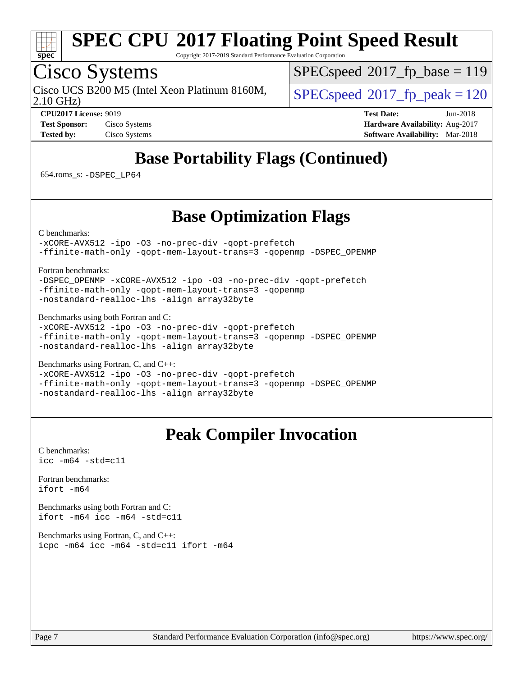![](_page_6_Picture_0.jpeg)

Copyright 2017-2019 Standard Performance Evaluation Corporation

## Cisco Systems

2.10 GHz) Cisco UCS B200 M5 (Intel Xeon Platinum 8160M,  $\big|$  [SPECspeed](http://www.spec.org/auto/cpu2017/Docs/result-fields.html#SPECspeed2017fppeak)®2017 fp\_peak = 120

[SPECspeed](http://www.spec.org/auto/cpu2017/Docs/result-fields.html#SPECspeed2017fpbase)<sup>®</sup>2017 fp base = 119

**[CPU2017 License:](http://www.spec.org/auto/cpu2017/Docs/result-fields.html#CPU2017License)** 9019 **[Test Date:](http://www.spec.org/auto/cpu2017/Docs/result-fields.html#TestDate)** Jun-2018 **[Test Sponsor:](http://www.spec.org/auto/cpu2017/Docs/result-fields.html#TestSponsor)** Cisco Systems **[Hardware Availability:](http://www.spec.org/auto/cpu2017/Docs/result-fields.html#HardwareAvailability)** Aug-2017 **[Tested by:](http://www.spec.org/auto/cpu2017/Docs/result-fields.html#Testedby)** Cisco Systems **[Software Availability:](http://www.spec.org/auto/cpu2017/Docs/result-fields.html#SoftwareAvailability)** Mar-2018

### **[Base Portability Flags \(Continued\)](http://www.spec.org/auto/cpu2017/Docs/result-fields.html#BasePortabilityFlags)**

654.roms\_s: [-DSPEC\\_LP64](http://www.spec.org/cpu2017/results/res2018q2/cpu2017-20180612-06900.flags.html#suite_basePORTABILITY654_roms_s_DSPEC_LP64)

### **[Base Optimization Flags](http://www.spec.org/auto/cpu2017/Docs/result-fields.html#BaseOptimizationFlags)**

[C benchmarks](http://www.spec.org/auto/cpu2017/Docs/result-fields.html#Cbenchmarks):

[-xCORE-AVX512](http://www.spec.org/cpu2017/results/res2018q2/cpu2017-20180612-06900.flags.html#user_CCbase_f-xCORE-AVX512) [-ipo](http://www.spec.org/cpu2017/results/res2018q2/cpu2017-20180612-06900.flags.html#user_CCbase_f-ipo) [-O3](http://www.spec.org/cpu2017/results/res2018q2/cpu2017-20180612-06900.flags.html#user_CCbase_f-O3) [-no-prec-div](http://www.spec.org/cpu2017/results/res2018q2/cpu2017-20180612-06900.flags.html#user_CCbase_f-no-prec-div) [-qopt-prefetch](http://www.spec.org/cpu2017/results/res2018q2/cpu2017-20180612-06900.flags.html#user_CCbase_f-qopt-prefetch) [-ffinite-math-only](http://www.spec.org/cpu2017/results/res2018q2/cpu2017-20180612-06900.flags.html#user_CCbase_f_finite_math_only_cb91587bd2077682c4b38af759c288ed7c732db004271a9512da14a4f8007909a5f1427ecbf1a0fb78ff2a814402c6114ac565ca162485bbcae155b5e4258871) [-qopt-mem-layout-trans=3](http://www.spec.org/cpu2017/results/res2018q2/cpu2017-20180612-06900.flags.html#user_CCbase_f-qopt-mem-layout-trans_de80db37974c74b1f0e20d883f0b675c88c3b01e9d123adea9b28688d64333345fb62bc4a798493513fdb68f60282f9a726aa07f478b2f7113531aecce732043) [-qopenmp](http://www.spec.org/cpu2017/results/res2018q2/cpu2017-20180612-06900.flags.html#user_CCbase_qopenmp_16be0c44f24f464004c6784a7acb94aca937f053568ce72f94b139a11c7c168634a55f6653758ddd83bcf7b8463e8028bb0b48b77bcddc6b78d5d95bb1df2967) [-DSPEC\\_OPENMP](http://www.spec.org/cpu2017/results/res2018q2/cpu2017-20180612-06900.flags.html#suite_CCbase_DSPEC_OPENMP)

[Fortran benchmarks](http://www.spec.org/auto/cpu2017/Docs/result-fields.html#Fortranbenchmarks):

[-DSPEC\\_OPENMP](http://www.spec.org/cpu2017/results/res2018q2/cpu2017-20180612-06900.flags.html#suite_FCbase_DSPEC_OPENMP) [-xCORE-AVX512](http://www.spec.org/cpu2017/results/res2018q2/cpu2017-20180612-06900.flags.html#user_FCbase_f-xCORE-AVX512) [-ipo](http://www.spec.org/cpu2017/results/res2018q2/cpu2017-20180612-06900.flags.html#user_FCbase_f-ipo) [-O3](http://www.spec.org/cpu2017/results/res2018q2/cpu2017-20180612-06900.flags.html#user_FCbase_f-O3) [-no-prec-div](http://www.spec.org/cpu2017/results/res2018q2/cpu2017-20180612-06900.flags.html#user_FCbase_f-no-prec-div) [-qopt-prefetch](http://www.spec.org/cpu2017/results/res2018q2/cpu2017-20180612-06900.flags.html#user_FCbase_f-qopt-prefetch) [-ffinite-math-only](http://www.spec.org/cpu2017/results/res2018q2/cpu2017-20180612-06900.flags.html#user_FCbase_f_finite_math_only_cb91587bd2077682c4b38af759c288ed7c732db004271a9512da14a4f8007909a5f1427ecbf1a0fb78ff2a814402c6114ac565ca162485bbcae155b5e4258871) [-qopt-mem-layout-trans=3](http://www.spec.org/cpu2017/results/res2018q2/cpu2017-20180612-06900.flags.html#user_FCbase_f-qopt-mem-layout-trans_de80db37974c74b1f0e20d883f0b675c88c3b01e9d123adea9b28688d64333345fb62bc4a798493513fdb68f60282f9a726aa07f478b2f7113531aecce732043) [-qopenmp](http://www.spec.org/cpu2017/results/res2018q2/cpu2017-20180612-06900.flags.html#user_FCbase_qopenmp_16be0c44f24f464004c6784a7acb94aca937f053568ce72f94b139a11c7c168634a55f6653758ddd83bcf7b8463e8028bb0b48b77bcddc6b78d5d95bb1df2967) [-nostandard-realloc-lhs](http://www.spec.org/cpu2017/results/res2018q2/cpu2017-20180612-06900.flags.html#user_FCbase_f_2003_std_realloc_82b4557e90729c0f113870c07e44d33d6f5a304b4f63d4c15d2d0f1fab99f5daaed73bdb9275d9ae411527f28b936061aa8b9c8f2d63842963b95c9dd6426b8a) [-align array32byte](http://www.spec.org/cpu2017/results/res2018q2/cpu2017-20180612-06900.flags.html#user_FCbase_align_array32byte_b982fe038af199962ba9a80c053b8342c548c85b40b8e86eb3cc33dee0d7986a4af373ac2d51c3f7cf710a18d62fdce2948f201cd044323541f22fc0fffc51b6)

[Benchmarks using both Fortran and C](http://www.spec.org/auto/cpu2017/Docs/result-fields.html#BenchmarksusingbothFortranandC):

[-xCORE-AVX512](http://www.spec.org/cpu2017/results/res2018q2/cpu2017-20180612-06900.flags.html#user_CC_FCbase_f-xCORE-AVX512) [-ipo](http://www.spec.org/cpu2017/results/res2018q2/cpu2017-20180612-06900.flags.html#user_CC_FCbase_f-ipo) [-O3](http://www.spec.org/cpu2017/results/res2018q2/cpu2017-20180612-06900.flags.html#user_CC_FCbase_f-O3) [-no-prec-div](http://www.spec.org/cpu2017/results/res2018q2/cpu2017-20180612-06900.flags.html#user_CC_FCbase_f-no-prec-div) [-qopt-prefetch](http://www.spec.org/cpu2017/results/res2018q2/cpu2017-20180612-06900.flags.html#user_CC_FCbase_f-qopt-prefetch) [-ffinite-math-only](http://www.spec.org/cpu2017/results/res2018q2/cpu2017-20180612-06900.flags.html#user_CC_FCbase_f_finite_math_only_cb91587bd2077682c4b38af759c288ed7c732db004271a9512da14a4f8007909a5f1427ecbf1a0fb78ff2a814402c6114ac565ca162485bbcae155b5e4258871) [-qopt-mem-layout-trans=3](http://www.spec.org/cpu2017/results/res2018q2/cpu2017-20180612-06900.flags.html#user_CC_FCbase_f-qopt-mem-layout-trans_de80db37974c74b1f0e20d883f0b675c88c3b01e9d123adea9b28688d64333345fb62bc4a798493513fdb68f60282f9a726aa07f478b2f7113531aecce732043) [-qopenmp](http://www.spec.org/cpu2017/results/res2018q2/cpu2017-20180612-06900.flags.html#user_CC_FCbase_qopenmp_16be0c44f24f464004c6784a7acb94aca937f053568ce72f94b139a11c7c168634a55f6653758ddd83bcf7b8463e8028bb0b48b77bcddc6b78d5d95bb1df2967) [-DSPEC\\_OPENMP](http://www.spec.org/cpu2017/results/res2018q2/cpu2017-20180612-06900.flags.html#suite_CC_FCbase_DSPEC_OPENMP) [-nostandard-realloc-lhs](http://www.spec.org/cpu2017/results/res2018q2/cpu2017-20180612-06900.flags.html#user_CC_FCbase_f_2003_std_realloc_82b4557e90729c0f113870c07e44d33d6f5a304b4f63d4c15d2d0f1fab99f5daaed73bdb9275d9ae411527f28b936061aa8b9c8f2d63842963b95c9dd6426b8a) [-align array32byte](http://www.spec.org/cpu2017/results/res2018q2/cpu2017-20180612-06900.flags.html#user_CC_FCbase_align_array32byte_b982fe038af199962ba9a80c053b8342c548c85b40b8e86eb3cc33dee0d7986a4af373ac2d51c3f7cf710a18d62fdce2948f201cd044323541f22fc0fffc51b6)

[Benchmarks using Fortran, C, and C++:](http://www.spec.org/auto/cpu2017/Docs/result-fields.html#BenchmarksusingFortranCandCXX)

[-xCORE-AVX512](http://www.spec.org/cpu2017/results/res2018q2/cpu2017-20180612-06900.flags.html#user_CC_CXX_FCbase_f-xCORE-AVX512) [-ipo](http://www.spec.org/cpu2017/results/res2018q2/cpu2017-20180612-06900.flags.html#user_CC_CXX_FCbase_f-ipo) [-O3](http://www.spec.org/cpu2017/results/res2018q2/cpu2017-20180612-06900.flags.html#user_CC_CXX_FCbase_f-O3) [-no-prec-div](http://www.spec.org/cpu2017/results/res2018q2/cpu2017-20180612-06900.flags.html#user_CC_CXX_FCbase_f-no-prec-div) [-qopt-prefetch](http://www.spec.org/cpu2017/results/res2018q2/cpu2017-20180612-06900.flags.html#user_CC_CXX_FCbase_f-qopt-prefetch) [-ffinite-math-only](http://www.spec.org/cpu2017/results/res2018q2/cpu2017-20180612-06900.flags.html#user_CC_CXX_FCbase_f_finite_math_only_cb91587bd2077682c4b38af759c288ed7c732db004271a9512da14a4f8007909a5f1427ecbf1a0fb78ff2a814402c6114ac565ca162485bbcae155b5e4258871) [-qopt-mem-layout-trans=3](http://www.spec.org/cpu2017/results/res2018q2/cpu2017-20180612-06900.flags.html#user_CC_CXX_FCbase_f-qopt-mem-layout-trans_de80db37974c74b1f0e20d883f0b675c88c3b01e9d123adea9b28688d64333345fb62bc4a798493513fdb68f60282f9a726aa07f478b2f7113531aecce732043) [-qopenmp](http://www.spec.org/cpu2017/results/res2018q2/cpu2017-20180612-06900.flags.html#user_CC_CXX_FCbase_qopenmp_16be0c44f24f464004c6784a7acb94aca937f053568ce72f94b139a11c7c168634a55f6653758ddd83bcf7b8463e8028bb0b48b77bcddc6b78d5d95bb1df2967) [-DSPEC\\_OPENMP](http://www.spec.org/cpu2017/results/res2018q2/cpu2017-20180612-06900.flags.html#suite_CC_CXX_FCbase_DSPEC_OPENMP) [-nostandard-realloc-lhs](http://www.spec.org/cpu2017/results/res2018q2/cpu2017-20180612-06900.flags.html#user_CC_CXX_FCbase_f_2003_std_realloc_82b4557e90729c0f113870c07e44d33d6f5a304b4f63d4c15d2d0f1fab99f5daaed73bdb9275d9ae411527f28b936061aa8b9c8f2d63842963b95c9dd6426b8a) [-align array32byte](http://www.spec.org/cpu2017/results/res2018q2/cpu2017-20180612-06900.flags.html#user_CC_CXX_FCbase_align_array32byte_b982fe038af199962ba9a80c053b8342c548c85b40b8e86eb3cc33dee0d7986a4af373ac2d51c3f7cf710a18d62fdce2948f201cd044323541f22fc0fffc51b6)

### **[Peak Compiler Invocation](http://www.spec.org/auto/cpu2017/Docs/result-fields.html#PeakCompilerInvocation)**

[C benchmarks](http://www.spec.org/auto/cpu2017/Docs/result-fields.html#Cbenchmarks): [icc -m64 -std=c11](http://www.spec.org/cpu2017/results/res2018q2/cpu2017-20180612-06900.flags.html#user_CCpeak_intel_icc_64bit_c11_33ee0cdaae7deeeab2a9725423ba97205ce30f63b9926c2519791662299b76a0318f32ddfffdc46587804de3178b4f9328c46fa7c2b0cd779d7a61945c91cd35)

[Fortran benchmarks](http://www.spec.org/auto/cpu2017/Docs/result-fields.html#Fortranbenchmarks): [ifort -m64](http://www.spec.org/cpu2017/results/res2018q2/cpu2017-20180612-06900.flags.html#user_FCpeak_intel_ifort_64bit_24f2bb282fbaeffd6157abe4f878425411749daecae9a33200eee2bee2fe76f3b89351d69a8130dd5949958ce389cf37ff59a95e7a40d588e8d3a57e0c3fd751)

[Benchmarks using both Fortran and C](http://www.spec.org/auto/cpu2017/Docs/result-fields.html#BenchmarksusingbothFortranandC): [ifort -m64](http://www.spec.org/cpu2017/results/res2018q2/cpu2017-20180612-06900.flags.html#user_CC_FCpeak_intel_ifort_64bit_24f2bb282fbaeffd6157abe4f878425411749daecae9a33200eee2bee2fe76f3b89351d69a8130dd5949958ce389cf37ff59a95e7a40d588e8d3a57e0c3fd751) [icc -m64 -std=c11](http://www.spec.org/cpu2017/results/res2018q2/cpu2017-20180612-06900.flags.html#user_CC_FCpeak_intel_icc_64bit_c11_33ee0cdaae7deeeab2a9725423ba97205ce30f63b9926c2519791662299b76a0318f32ddfffdc46587804de3178b4f9328c46fa7c2b0cd779d7a61945c91cd35)

[Benchmarks using Fortran, C, and C++:](http://www.spec.org/auto/cpu2017/Docs/result-fields.html#BenchmarksusingFortranCandCXX) [icpc -m64](http://www.spec.org/cpu2017/results/res2018q2/cpu2017-20180612-06900.flags.html#user_CC_CXX_FCpeak_intel_icpc_64bit_4ecb2543ae3f1412ef961e0650ca070fec7b7afdcd6ed48761b84423119d1bf6bdf5cad15b44d48e7256388bc77273b966e5eb805aefd121eb22e9299b2ec9d9) [icc -m64 -std=c11](http://www.spec.org/cpu2017/results/res2018q2/cpu2017-20180612-06900.flags.html#user_CC_CXX_FCpeak_intel_icc_64bit_c11_33ee0cdaae7deeeab2a9725423ba97205ce30f63b9926c2519791662299b76a0318f32ddfffdc46587804de3178b4f9328c46fa7c2b0cd779d7a61945c91cd35) [ifort -m64](http://www.spec.org/cpu2017/results/res2018q2/cpu2017-20180612-06900.flags.html#user_CC_CXX_FCpeak_intel_ifort_64bit_24f2bb282fbaeffd6157abe4f878425411749daecae9a33200eee2bee2fe76f3b89351d69a8130dd5949958ce389cf37ff59a95e7a40d588e8d3a57e0c3fd751)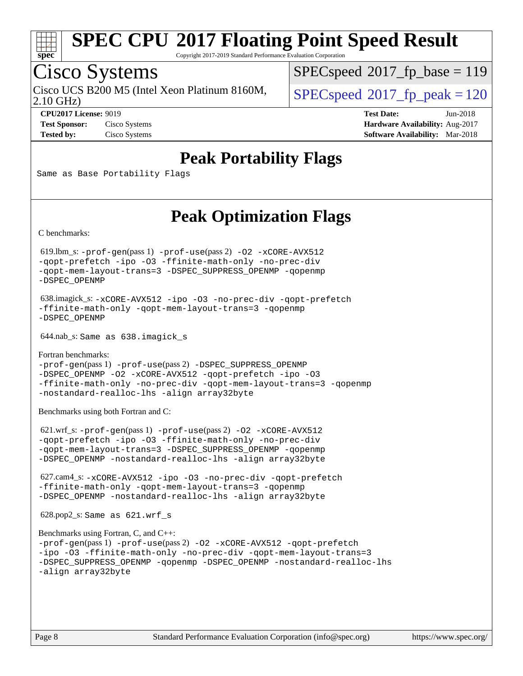![](_page_7_Picture_0.jpeg)

Copyright 2017-2019 Standard Performance Evaluation Corporation

# Cisco Systems

2.10 GHz) Cisco UCS B200 M5 (Intel Xeon Platinum 8160M,  $\vert$  [SPECspeed](http://www.spec.org/auto/cpu2017/Docs/result-fields.html#SPECspeed2017fppeak)<sup>®</sup>2017 fp\_peak = 120

[SPECspeed](http://www.spec.org/auto/cpu2017/Docs/result-fields.html#SPECspeed2017fpbase)<sup>®</sup>2017 fp base = 119

**[CPU2017 License:](http://www.spec.org/auto/cpu2017/Docs/result-fields.html#CPU2017License)** 9019 **[Test Date:](http://www.spec.org/auto/cpu2017/Docs/result-fields.html#TestDate)** Jun-2018 **[Test Sponsor:](http://www.spec.org/auto/cpu2017/Docs/result-fields.html#TestSponsor)** Cisco Systems **[Hardware Availability:](http://www.spec.org/auto/cpu2017/Docs/result-fields.html#HardwareAvailability)** Aug-2017 **[Tested by:](http://www.spec.org/auto/cpu2017/Docs/result-fields.html#Testedby)** Cisco Systems **[Software Availability:](http://www.spec.org/auto/cpu2017/Docs/result-fields.html#SoftwareAvailability)** Mar-2018

### **[Peak Portability Flags](http://www.spec.org/auto/cpu2017/Docs/result-fields.html#PeakPortabilityFlags)**

Same as Base Portability Flags

### **[Peak Optimization Flags](http://www.spec.org/auto/cpu2017/Docs/result-fields.html#PeakOptimizationFlags)**

[C benchmarks](http://www.spec.org/auto/cpu2017/Docs/result-fields.html#Cbenchmarks):

 619.lbm\_s: [-prof-gen](http://www.spec.org/cpu2017/results/res2018q2/cpu2017-20180612-06900.flags.html#user_peakPASS1_CFLAGSPASS1_LDFLAGS619_lbm_s_prof_gen_5aa4926d6013ddb2a31985c654b3eb18169fc0c6952a63635c234f711e6e63dd76e94ad52365559451ec499a2cdb89e4dc58ba4c67ef54ca681ffbe1461d6b36)(pass 1) [-prof-use](http://www.spec.org/cpu2017/results/res2018q2/cpu2017-20180612-06900.flags.html#user_peakPASS2_CFLAGSPASS2_LDFLAGS619_lbm_s_prof_use_1a21ceae95f36a2b53c25747139a6c16ca95bd9def2a207b4f0849963b97e94f5260e30a0c64f4bb623698870e679ca08317ef8150905d41bd88c6f78df73f19)(pass 2) [-O2](http://www.spec.org/cpu2017/results/res2018q2/cpu2017-20180612-06900.flags.html#user_peakPASS1_COPTIMIZE619_lbm_s_f-O2) [-xCORE-AVX512](http://www.spec.org/cpu2017/results/res2018q2/cpu2017-20180612-06900.flags.html#user_peakPASS2_COPTIMIZE619_lbm_s_f-xCORE-AVX512) [-qopt-prefetch](http://www.spec.org/cpu2017/results/res2018q2/cpu2017-20180612-06900.flags.html#user_peakPASS1_COPTIMIZEPASS2_COPTIMIZE619_lbm_s_f-qopt-prefetch) [-ipo](http://www.spec.org/cpu2017/results/res2018q2/cpu2017-20180612-06900.flags.html#user_peakPASS2_COPTIMIZE619_lbm_s_f-ipo) [-O3](http://www.spec.org/cpu2017/results/res2018q2/cpu2017-20180612-06900.flags.html#user_peakPASS2_COPTIMIZE619_lbm_s_f-O3) [-ffinite-math-only](http://www.spec.org/cpu2017/results/res2018q2/cpu2017-20180612-06900.flags.html#user_peakPASS1_COPTIMIZEPASS2_COPTIMIZE619_lbm_s_f_finite_math_only_cb91587bd2077682c4b38af759c288ed7c732db004271a9512da14a4f8007909a5f1427ecbf1a0fb78ff2a814402c6114ac565ca162485bbcae155b5e4258871) [-no-prec-div](http://www.spec.org/cpu2017/results/res2018q2/cpu2017-20180612-06900.flags.html#user_peakPASS2_COPTIMIZE619_lbm_s_f-no-prec-div) [-qopt-mem-layout-trans=3](http://www.spec.org/cpu2017/results/res2018q2/cpu2017-20180612-06900.flags.html#user_peakPASS1_COPTIMIZEPASS2_COPTIMIZE619_lbm_s_f-qopt-mem-layout-trans_de80db37974c74b1f0e20d883f0b675c88c3b01e9d123adea9b28688d64333345fb62bc4a798493513fdb68f60282f9a726aa07f478b2f7113531aecce732043) [-DSPEC\\_SUPPRESS\\_OPENMP](http://www.spec.org/cpu2017/results/res2018q2/cpu2017-20180612-06900.flags.html#suite_peakPASS1_COPTIMIZE619_lbm_s_DSPEC_SUPPRESS_OPENMP) [-qopenmp](http://www.spec.org/cpu2017/results/res2018q2/cpu2017-20180612-06900.flags.html#user_peakPASS2_COPTIMIZE619_lbm_s_qopenmp_16be0c44f24f464004c6784a7acb94aca937f053568ce72f94b139a11c7c168634a55f6653758ddd83bcf7b8463e8028bb0b48b77bcddc6b78d5d95bb1df2967) [-DSPEC\\_OPENMP](http://www.spec.org/cpu2017/results/res2018q2/cpu2017-20180612-06900.flags.html#suite_peakPASS2_COPTIMIZE619_lbm_s_DSPEC_OPENMP)

 638.imagick\_s: [-xCORE-AVX512](http://www.spec.org/cpu2017/results/res2018q2/cpu2017-20180612-06900.flags.html#user_peakCOPTIMIZE638_imagick_s_f-xCORE-AVX512) [-ipo](http://www.spec.org/cpu2017/results/res2018q2/cpu2017-20180612-06900.flags.html#user_peakCOPTIMIZE638_imagick_s_f-ipo) [-O3](http://www.spec.org/cpu2017/results/res2018q2/cpu2017-20180612-06900.flags.html#user_peakCOPTIMIZE638_imagick_s_f-O3) [-no-prec-div](http://www.spec.org/cpu2017/results/res2018q2/cpu2017-20180612-06900.flags.html#user_peakCOPTIMIZE638_imagick_s_f-no-prec-div) [-qopt-prefetch](http://www.spec.org/cpu2017/results/res2018q2/cpu2017-20180612-06900.flags.html#user_peakCOPTIMIZE638_imagick_s_f-qopt-prefetch) [-ffinite-math-only](http://www.spec.org/cpu2017/results/res2018q2/cpu2017-20180612-06900.flags.html#user_peakCOPTIMIZE638_imagick_s_f_finite_math_only_cb91587bd2077682c4b38af759c288ed7c732db004271a9512da14a4f8007909a5f1427ecbf1a0fb78ff2a814402c6114ac565ca162485bbcae155b5e4258871) [-qopt-mem-layout-trans=3](http://www.spec.org/cpu2017/results/res2018q2/cpu2017-20180612-06900.flags.html#user_peakCOPTIMIZE638_imagick_s_f-qopt-mem-layout-trans_de80db37974c74b1f0e20d883f0b675c88c3b01e9d123adea9b28688d64333345fb62bc4a798493513fdb68f60282f9a726aa07f478b2f7113531aecce732043) [-qopenmp](http://www.spec.org/cpu2017/results/res2018q2/cpu2017-20180612-06900.flags.html#user_peakCOPTIMIZE638_imagick_s_qopenmp_16be0c44f24f464004c6784a7acb94aca937f053568ce72f94b139a11c7c168634a55f6653758ddd83bcf7b8463e8028bb0b48b77bcddc6b78d5d95bb1df2967) [-DSPEC\\_OPENMP](http://www.spec.org/cpu2017/results/res2018q2/cpu2017-20180612-06900.flags.html#suite_peakCOPTIMIZE638_imagick_s_DSPEC_OPENMP)

644.nab\_s: Same as 638.imagick\_s

[Fortran benchmarks](http://www.spec.org/auto/cpu2017/Docs/result-fields.html#Fortranbenchmarks): [-prof-gen](http://www.spec.org/cpu2017/results/res2018q2/cpu2017-20180612-06900.flags.html#user_FCpeak_prof_gen_5aa4926d6013ddb2a31985c654b3eb18169fc0c6952a63635c234f711e6e63dd76e94ad52365559451ec499a2cdb89e4dc58ba4c67ef54ca681ffbe1461d6b36)(pass 1) [-prof-use](http://www.spec.org/cpu2017/results/res2018q2/cpu2017-20180612-06900.flags.html#user_FCpeak_prof_use_1a21ceae95f36a2b53c25747139a6c16ca95bd9def2a207b4f0849963b97e94f5260e30a0c64f4bb623698870e679ca08317ef8150905d41bd88c6f78df73f19)(pass 2) [-DSPEC\\_SUPPRESS\\_OPENMP](http://www.spec.org/cpu2017/results/res2018q2/cpu2017-20180612-06900.flags.html#suite_FCpeak_DSPEC_SUPPRESS_OPENMP) [-DSPEC\\_OPENMP](http://www.spec.org/cpu2017/results/res2018q2/cpu2017-20180612-06900.flags.html#suite_FCpeak_DSPEC_OPENMP) [-O2](http://www.spec.org/cpu2017/results/res2018q2/cpu2017-20180612-06900.flags.html#user_FCpeak_f-O2) [-xCORE-AVX512](http://www.spec.org/cpu2017/results/res2018q2/cpu2017-20180612-06900.flags.html#user_FCpeak_f-xCORE-AVX512) [-qopt-prefetch](http://www.spec.org/cpu2017/results/res2018q2/cpu2017-20180612-06900.flags.html#user_FCpeak_f-qopt-prefetch) [-ipo](http://www.spec.org/cpu2017/results/res2018q2/cpu2017-20180612-06900.flags.html#user_FCpeak_f-ipo) [-O3](http://www.spec.org/cpu2017/results/res2018q2/cpu2017-20180612-06900.flags.html#user_FCpeak_f-O3) [-ffinite-math-only](http://www.spec.org/cpu2017/results/res2018q2/cpu2017-20180612-06900.flags.html#user_FCpeak_f_finite_math_only_cb91587bd2077682c4b38af759c288ed7c732db004271a9512da14a4f8007909a5f1427ecbf1a0fb78ff2a814402c6114ac565ca162485bbcae155b5e4258871) [-no-prec-div](http://www.spec.org/cpu2017/results/res2018q2/cpu2017-20180612-06900.flags.html#user_FCpeak_f-no-prec-div) [-qopt-mem-layout-trans=3](http://www.spec.org/cpu2017/results/res2018q2/cpu2017-20180612-06900.flags.html#user_FCpeak_f-qopt-mem-layout-trans_de80db37974c74b1f0e20d883f0b675c88c3b01e9d123adea9b28688d64333345fb62bc4a798493513fdb68f60282f9a726aa07f478b2f7113531aecce732043) [-qopenmp](http://www.spec.org/cpu2017/results/res2018q2/cpu2017-20180612-06900.flags.html#user_FCpeak_qopenmp_16be0c44f24f464004c6784a7acb94aca937f053568ce72f94b139a11c7c168634a55f6653758ddd83bcf7b8463e8028bb0b48b77bcddc6b78d5d95bb1df2967) [-nostandard-realloc-lhs](http://www.spec.org/cpu2017/results/res2018q2/cpu2017-20180612-06900.flags.html#user_FCpeak_f_2003_std_realloc_82b4557e90729c0f113870c07e44d33d6f5a304b4f63d4c15d2d0f1fab99f5daaed73bdb9275d9ae411527f28b936061aa8b9c8f2d63842963b95c9dd6426b8a) [-align array32byte](http://www.spec.org/cpu2017/results/res2018q2/cpu2017-20180612-06900.flags.html#user_FCpeak_align_array32byte_b982fe038af199962ba9a80c053b8342c548c85b40b8e86eb3cc33dee0d7986a4af373ac2d51c3f7cf710a18d62fdce2948f201cd044323541f22fc0fffc51b6)

[Benchmarks using both Fortran and C](http://www.spec.org/auto/cpu2017/Docs/result-fields.html#BenchmarksusingbothFortranandC):

 621.wrf\_s: [-prof-gen](http://www.spec.org/cpu2017/results/res2018q2/cpu2017-20180612-06900.flags.html#user_peakPASS1_CFLAGSPASS1_FFLAGSPASS1_LDFLAGS621_wrf_s_prof_gen_5aa4926d6013ddb2a31985c654b3eb18169fc0c6952a63635c234f711e6e63dd76e94ad52365559451ec499a2cdb89e4dc58ba4c67ef54ca681ffbe1461d6b36)(pass 1) [-prof-use](http://www.spec.org/cpu2017/results/res2018q2/cpu2017-20180612-06900.flags.html#user_peakPASS2_CFLAGSPASS2_FFLAGSPASS2_LDFLAGS621_wrf_s_prof_use_1a21ceae95f36a2b53c25747139a6c16ca95bd9def2a207b4f0849963b97e94f5260e30a0c64f4bb623698870e679ca08317ef8150905d41bd88c6f78df73f19)(pass 2) [-O2](http://www.spec.org/cpu2017/results/res2018q2/cpu2017-20180612-06900.flags.html#user_peakPASS1_COPTIMIZEPASS1_FOPTIMIZE621_wrf_s_f-O2) [-xCORE-AVX512](http://www.spec.org/cpu2017/results/res2018q2/cpu2017-20180612-06900.flags.html#user_peakPASS2_COPTIMIZEPASS2_FOPTIMIZE621_wrf_s_f-xCORE-AVX512) [-qopt-prefetch](http://www.spec.org/cpu2017/results/res2018q2/cpu2017-20180612-06900.flags.html#user_peakPASS1_COPTIMIZEPASS1_FOPTIMIZEPASS2_COPTIMIZEPASS2_FOPTIMIZE621_wrf_s_f-qopt-prefetch) [-ipo](http://www.spec.org/cpu2017/results/res2018q2/cpu2017-20180612-06900.flags.html#user_peakPASS2_COPTIMIZEPASS2_FOPTIMIZE621_wrf_s_f-ipo) [-O3](http://www.spec.org/cpu2017/results/res2018q2/cpu2017-20180612-06900.flags.html#user_peakPASS2_COPTIMIZEPASS2_FOPTIMIZE621_wrf_s_f-O3) [-ffinite-math-only](http://www.spec.org/cpu2017/results/res2018q2/cpu2017-20180612-06900.flags.html#user_peakPASS1_COPTIMIZEPASS1_FOPTIMIZEPASS2_COPTIMIZEPASS2_FOPTIMIZE621_wrf_s_f_finite_math_only_cb91587bd2077682c4b38af759c288ed7c732db004271a9512da14a4f8007909a5f1427ecbf1a0fb78ff2a814402c6114ac565ca162485bbcae155b5e4258871) [-no-prec-div](http://www.spec.org/cpu2017/results/res2018q2/cpu2017-20180612-06900.flags.html#user_peakPASS2_COPTIMIZEPASS2_FOPTIMIZE621_wrf_s_f-no-prec-div) [-qopt-mem-layout-trans=3](http://www.spec.org/cpu2017/results/res2018q2/cpu2017-20180612-06900.flags.html#user_peakPASS1_COPTIMIZEPASS1_FOPTIMIZEPASS2_COPTIMIZEPASS2_FOPTIMIZE621_wrf_s_f-qopt-mem-layout-trans_de80db37974c74b1f0e20d883f0b675c88c3b01e9d123adea9b28688d64333345fb62bc4a798493513fdb68f60282f9a726aa07f478b2f7113531aecce732043) [-DSPEC\\_SUPPRESS\\_OPENMP](http://www.spec.org/cpu2017/results/res2018q2/cpu2017-20180612-06900.flags.html#suite_peakPASS1_COPTIMIZEPASS1_FOPTIMIZE621_wrf_s_DSPEC_SUPPRESS_OPENMP) [-qopenmp](http://www.spec.org/cpu2017/results/res2018q2/cpu2017-20180612-06900.flags.html#user_peakPASS2_COPTIMIZEPASS2_FOPTIMIZE621_wrf_s_qopenmp_16be0c44f24f464004c6784a7acb94aca937f053568ce72f94b139a11c7c168634a55f6653758ddd83bcf7b8463e8028bb0b48b77bcddc6b78d5d95bb1df2967) [-DSPEC\\_OPENMP](http://www.spec.org/cpu2017/results/res2018q2/cpu2017-20180612-06900.flags.html#suite_peakPASS2_COPTIMIZEPASS2_FOPTIMIZE621_wrf_s_DSPEC_OPENMP) [-nostandard-realloc-lhs](http://www.spec.org/cpu2017/results/res2018q2/cpu2017-20180612-06900.flags.html#user_peakEXTRA_FOPTIMIZE621_wrf_s_f_2003_std_realloc_82b4557e90729c0f113870c07e44d33d6f5a304b4f63d4c15d2d0f1fab99f5daaed73bdb9275d9ae411527f28b936061aa8b9c8f2d63842963b95c9dd6426b8a) [-align array32byte](http://www.spec.org/cpu2017/results/res2018q2/cpu2017-20180612-06900.flags.html#user_peakEXTRA_FOPTIMIZE621_wrf_s_align_array32byte_b982fe038af199962ba9a80c053b8342c548c85b40b8e86eb3cc33dee0d7986a4af373ac2d51c3f7cf710a18d62fdce2948f201cd044323541f22fc0fffc51b6)

 627.cam4\_s: [-xCORE-AVX512](http://www.spec.org/cpu2017/results/res2018q2/cpu2017-20180612-06900.flags.html#user_peakCOPTIMIZEFOPTIMIZE627_cam4_s_f-xCORE-AVX512) [-ipo](http://www.spec.org/cpu2017/results/res2018q2/cpu2017-20180612-06900.flags.html#user_peakCOPTIMIZEFOPTIMIZE627_cam4_s_f-ipo) [-O3](http://www.spec.org/cpu2017/results/res2018q2/cpu2017-20180612-06900.flags.html#user_peakCOPTIMIZEFOPTIMIZE627_cam4_s_f-O3) [-no-prec-div](http://www.spec.org/cpu2017/results/res2018q2/cpu2017-20180612-06900.flags.html#user_peakCOPTIMIZEFOPTIMIZE627_cam4_s_f-no-prec-div) [-qopt-prefetch](http://www.spec.org/cpu2017/results/res2018q2/cpu2017-20180612-06900.flags.html#user_peakCOPTIMIZEFOPTIMIZE627_cam4_s_f-qopt-prefetch) [-ffinite-math-only](http://www.spec.org/cpu2017/results/res2018q2/cpu2017-20180612-06900.flags.html#user_peakCOPTIMIZEFOPTIMIZE627_cam4_s_f_finite_math_only_cb91587bd2077682c4b38af759c288ed7c732db004271a9512da14a4f8007909a5f1427ecbf1a0fb78ff2a814402c6114ac565ca162485bbcae155b5e4258871) [-qopt-mem-layout-trans=3](http://www.spec.org/cpu2017/results/res2018q2/cpu2017-20180612-06900.flags.html#user_peakCOPTIMIZEFOPTIMIZE627_cam4_s_f-qopt-mem-layout-trans_de80db37974c74b1f0e20d883f0b675c88c3b01e9d123adea9b28688d64333345fb62bc4a798493513fdb68f60282f9a726aa07f478b2f7113531aecce732043) [-qopenmp](http://www.spec.org/cpu2017/results/res2018q2/cpu2017-20180612-06900.flags.html#user_peakCOPTIMIZEFOPTIMIZE627_cam4_s_qopenmp_16be0c44f24f464004c6784a7acb94aca937f053568ce72f94b139a11c7c168634a55f6653758ddd83bcf7b8463e8028bb0b48b77bcddc6b78d5d95bb1df2967) [-DSPEC\\_OPENMP](http://www.spec.org/cpu2017/results/res2018q2/cpu2017-20180612-06900.flags.html#suite_peakCOPTIMIZEFOPTIMIZE627_cam4_s_DSPEC_OPENMP) [-nostandard-realloc-lhs](http://www.spec.org/cpu2017/results/res2018q2/cpu2017-20180612-06900.flags.html#user_peakEXTRA_FOPTIMIZE627_cam4_s_f_2003_std_realloc_82b4557e90729c0f113870c07e44d33d6f5a304b4f63d4c15d2d0f1fab99f5daaed73bdb9275d9ae411527f28b936061aa8b9c8f2d63842963b95c9dd6426b8a) [-align array32byte](http://www.spec.org/cpu2017/results/res2018q2/cpu2017-20180612-06900.flags.html#user_peakEXTRA_FOPTIMIZE627_cam4_s_align_array32byte_b982fe038af199962ba9a80c053b8342c548c85b40b8e86eb3cc33dee0d7986a4af373ac2d51c3f7cf710a18d62fdce2948f201cd044323541f22fc0fffc51b6)

628.pop2\_s: Same as 621.wrf\_s

```
Benchmarks using Fortran, C, and C++: 
-prof-gen(pass 1) -prof-use(pass 2) -O2 -xCORE-AVX512 -qopt-prefetch
-ipo -O3 -ffinite-math-only -no-prec-div -qopt-mem-layout-trans=3
-DSPEC_SUPPRESS_OPENMP -qopenmp -DSPEC_OPENMP -nostandard-realloc-lhs
-align array32byte
```